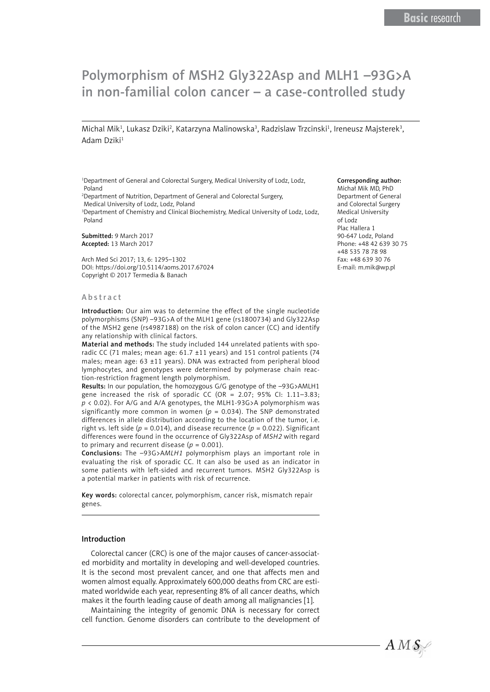# Polymorphism of MSH2 Gly322Asp and MLH1 –93G>A in non-familial colon cancer – a case-controlled study

Michal Mik<sup>1</sup>, Lukasz Dziki<sup>2</sup>, Katarzyna Malinowska<sup>3</sup>, Radzislaw Trzcinski<sup>1</sup>, Ireneusz Majsterek<sup>3</sup>, Adam Dziki<sup>1</sup>

<sup>1</sup>Department of General and Colorectal Surgery, Medical University of Lodz, Lodz, Poland

2 Department of Nutrition, Department of General and Colorectal Surgery,

Medical University of Lodz, Lodz, Poland

3 Department of Chemistry and Clinical Biochemistry, Medical University of Lodz, Lodz, Poland

Submitted: 9 March 2017 Accepted: 13 March 2017

Arch Med Sci 2017; 13, 6: 1295–1302 DOI: https://doi.org/10.5114/aoms.2017.67024 Copyright © 2017 Termedia & Banach

#### Abstract

Introduction: Our aim was to determine the effect of the single nucleotide polymorphisms (SNP) –93G>A of the MLH1 gene (rs1800734) and Gly322Asp of the MSH2 gene (rs4987188) on the risk of colon cancer (CC) and identify any relationship with clinical factors.

Material and methods: The study included 144 unrelated patients with sporadic CC (71 males; mean age: 61.7 ±11 years) and 151 control patients (74 males; mean age: 63 ±11 years). DNA was extracted from peripheral blood lymphocytes, and genotypes were determined by polymerase chain reaction-restriction fragment length polymorphism.

Results: In our population, the homozygous G/G genotype of the –93G>AMLH1 gene increased the risk of sporadic CC (OR =  $2.07$ ; 95% CI: 1.11-3.83; *p* < 0.02). For A/G and A/A genotypes, the MLH1-93G>A polymorphism was significantly more common in women ( $p = 0.034$ ). The SNP demonstrated differences in allele distribution according to the location of the tumor, i.e. right vs. left side ( $p = 0.014$ ), and disease recurrence ( $p = 0.022$ ). Significant differences were found in the occurrence of Gly322Asp of *MSH2* with regard to primary and recurrent disease ( $p = 0.001$ ).

Conclusions: The –93G>A*MLH1* polymorphism plays an important role in evaluating the risk of sporadic CC. It can also be used as an indicator in some patients with left-sided and recurrent tumors. MSH2 Gly322Asp is a potential marker in patients with risk of recurrence.

Key words: colorectal cancer, polymorphism, cancer risk, mismatch repair genes.

### Introduction

Colorectal cancer (CRC) is one of the major causes of cancer-associated morbidity and mortality in developing and well-developed countries. It is the second most prevalent cancer, and one that affects men and women almost equally. Approximately 600,000 deaths from CRC are estimated worldwide each year, representing 8% of all cancer deaths, which makes it the fourth leading cause of death among all malignancies [1].

Maintaining the integrity of genomic DNA is necessary for correct cell function. Genome disorders can contribute to the development of

#### Corresponding author:

Michał Mik MD, PhD Department of General and Colorectal Surgery Medical University of Lodz Plac Hallera 1 90-647 Lodz, Poland Phone: +48 42 639 30 75 +48 535 78 78 98 Fax: +48 639 30 76 E-mail: [m.mik@wp.pl](mailto:m.mik@wp.pl)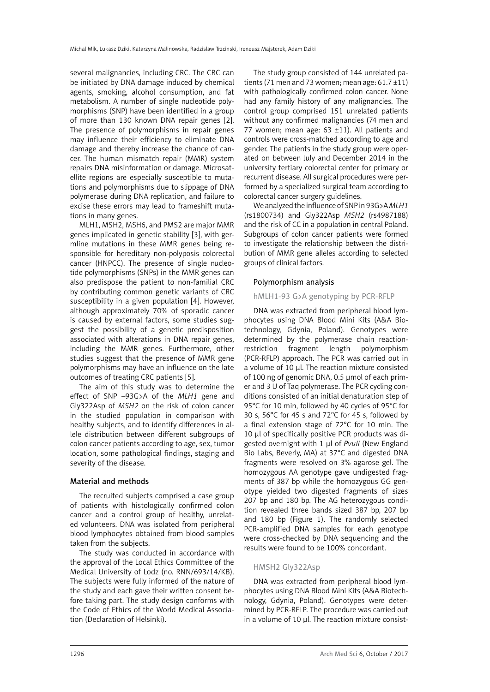several malignancies, including CRC. The CRC can be initiated by DNA damage induced by chemical agents, smoking, alcohol consumption, and fat metabolism. A number of single nucleotide polymorphisms (SNP) have been identified in a group of more than 130 known DNA repair genes [2]. The presence of polymorphisms in repair genes may influence their efficiency to eliminate DNA damage and thereby increase the chance of cancer. The human mismatch repair (MMR) system repairs DNA misinformation or damage. Microsatellite regions are especially susceptible to mutations and polymorphisms due to slippage of DNA polymerase during DNA replication, and failure to excise these errors may lead to frameshift mutations in many genes.

MLH1, MSH2, MSH6, and PMS2 are major MMR genes implicated in genetic stability [3], with germline mutations in these MMR genes being responsible for hereditary non-polyposis colorectal cancer (HNPCC). The presence of single nucleotide polymorphisms (SNPs) in the MMR genes can also predispose the patient to non-familial CRC by contributing common genetic variants of CRC susceptibility in a given population [4]. However, although approximately 70% of sporadic cancer is caused by external factors, some studies suggest the possibility of a genetic predisposition associated with alterations in DNA repair genes, including the MMR genes. Furthermore, other studies suggest that the presence of MMR gene polymorphisms may have an influence on the late outcomes of treating CRC patients [5].

The aim of this study was to determine the effect of SNP –93G>A of the *MLH1* gene and Gly322Asp of *MSH2* on the risk of colon cancer in the studied population in comparison with healthy subjects, and to identify differences in allele distribution between different subgroups of colon cancer patients according to age, sex, tumor location, some pathological findings, staging and severity of the disease.

# Material and methods

The recruited subjects comprised a case group of patients with histologically confirmed colon cancer and a control group of healthy, unrelated volunteers. DNA was isolated from peripheral blood lymphocytes obtained from blood samples taken from the subjects.

The study was conducted in accordance with the approval of the Local Ethics Committee of the Medical University of Lodz (no. RNN/693/14/KB). The subjects were fully informed of the nature of the study and each gave their written consent before taking part. The study design conforms with the Code of Ethics of the World Medical Association (Declaration of Helsinki).

The study group consisted of 144 unrelated patients (71 men and 73 women; mean age:  $61.7 \pm 11$ ) with pathologically confirmed colon cancer. None had any family history of any malignancies. The control group comprised 151 unrelated patients without any confirmed malignancies (74 men and 77 women; mean age: 63 ±11). All patients and controls were cross-matched according to age and gender. The patients in the study group were operated on between July and December 2014 in the university tertiary colorectal center for primary or recurrent disease. All surgical procedures were performed by a specialized surgical team according to colorectal cancer surgery guidelines.

We analyzed the influence of SNP in 93G>A *MLH1*  (rs1800734) and Gly322Asp *MSH2* (rs4987188) and the risk of CC in a population in central Poland. Subgroups of colon cancer patients were formed to investigate the relationship between the distribution of MMR gene alleles according to selected groups of clinical factors.

## Polymorphism analysis

## hMLH1-93 G>A genotyping by PCR-RFLP

DNA was extracted from peripheral blood lymphocytes using DNA Blood Mini Kits (A&A Biotechnology, Gdynia, Poland). Genotypes were determined by the polymerase chain reactionrestriction fragment length polymorphism (PCR-RFLP) approach. The PCR was carried out in a volume of 10 µl. The reaction mixture consisted of 100 ng of genomic DNA, 0.5 µmol of each primer and 3 U of Taq polymerase. The PCR cycling conditions consisted of an initial denaturation step of 95°C for 10 min, followed by 40 cycles of 95°C for 30 s, 56°C for 45 s and 72°C for 45 s, followed by a final extension stage of 72°C for 10 min. The 10 µl of specifically positive PCR products was digested overnight with 1 µl of *PvuII* (New England Bio Labs, Beverly, MA) at 37°C and digested DNA fragments were resolved on 3% agarose gel. The homozygous AA genotype gave undigested fragments of 387 bp while the homozygous GG genotype yielded two digested fragments of sizes 207 bp and 180 bp. The AG heterozygous condition revealed three bands sized 387 bp, 207 bp and 180 bp (Figure 1). The randomly selected PCR-amplified DNA samples for each genotype were cross-checked by DNA sequencing and the results were found to be 100% concordant.

### HMSH2 Gly322Asp

DNA was extracted from peripheral blood lymphocytes using DNA Blood Mini Kits (A&A Biotechnology, Gdynia, Poland). Genotypes were determined by PCR-RFLP. The procedure was carried out in a volume of 10 µl. The reaction mixture consist-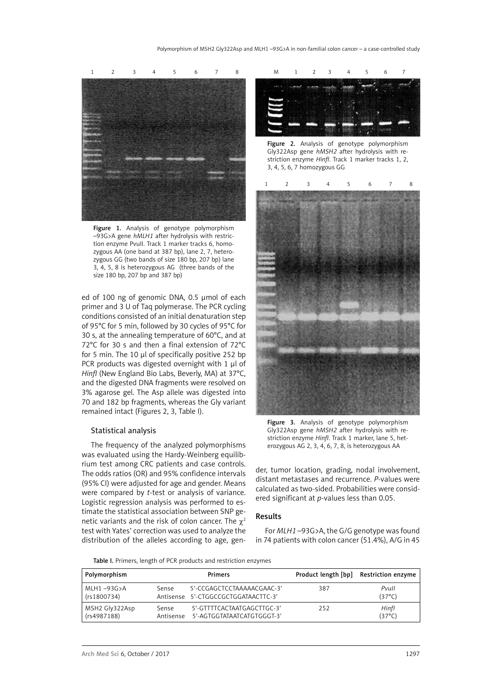

Figure 1. Analysis of genotype polymorphism –93G>A gene *hMLH1* after hydrolysis with restriction enzyme PvuII. Track 1 marker tracks 6, homozygous AA (one band at 387 bp), lane 2, 7, heterozygous GG (two bands of size 180 bp, 207 bp) lane 3, 4, 5, 8 is heterozygous AG (three bands of the size 180 bp, 207 bp and 387 bp)

ed of 100 ng of genomic DNA, 0.5 µmol of each primer and 3 U of Taq polymerase. The PCR cycling conditions consisted of an initial denaturation step of 95°C for 5 min, followed by 30 cycles of 95°C for 30 s, at the annealing temperature of 60°C, and at 72°C for 30 s and then a final extension of 72°C for 5 min. The 10 µl of specifically positive 252 bp PCR products was digested overnight with 1 µl of *HinfI* (New England Bio Labs, Beverly, MA) at 37°C, and the digested DNA fragments were resolved on 3% agarose gel. The Asp allele was digested into 70 and 182 bp fragments, whereas the Gly variant remained intact (Figures 2, 3, Table I).

## Statistical analysis

The frequency of the analyzed polymorphisms was evaluated using the Hardy-Weinberg equilibrium test among CRC patients and case controls. The odds ratios (OR) and 95% confidence intervals (95% CI) were adjusted for age and gender. Means were compared by *t*-test or analysis of variance. Logistic regression analysis was performed to estimate the statistical association between SNP genetic variants and the risk of colon cancer. The  $\chi^2$ test with Yates' correction was used to analyze the distribution of the alleles according to age, gen-



Figure 2. Analysis of genotype polymorphism Gly322Asp gene *hMSH2* after hydrolysis with restriction enzyme *HinfI*. Track 1 marker tracks 1, 2, 3, 4, 5, 6, 7 homozygous GG



Figure 3. Analysis of genotype polymorphism Gly322Asp gene *hMSH2* after hydrolysis with restriction enzyme *HinfI*. Track 1 marker, lane 5, heterozygous AG 2, 3, 4, 6, 7, 8, is heterozygous AA

der, tumor location, grading, nodal involvement, distant metastases and recurrence. *P*-values were calculated as two-sided. Probabilities were considered significant at *p*-values less than 0.05.

## Results

For *MLH1* –93G>A, the G/G genotype was found in 74 patients with colon cancer (51.4%), A/G in 45

Table I. Primers, length of PCR products and restriction enzymes

| Polymorphism                    |                    | <b>Primers</b>                                                    | Product length [bp] Restriction enzyme |                          |
|---------------------------------|--------------------|-------------------------------------------------------------------|----------------------------------------|--------------------------|
| $MLH1 - 93G > A$<br>(rs1800734) | Sense              | 5'-CCGAGCTCCTAAAAACGAAC-3'<br>Antisense 5'-CTGGCCGCTGGATAACTTC-3' | 387                                    | Pvull<br>$(37^{\circ}C)$ |
| MSH2 Gly322Asp<br>(rs4987188)   | Sense<br>Antisense | 5'-GTTTTCACTAATGAGCTTGC-3'<br>5'-AGTGGTATAATCATGTGGGT-3'          | 252                                    | Hinfl<br>$(37^{\circ}C)$ |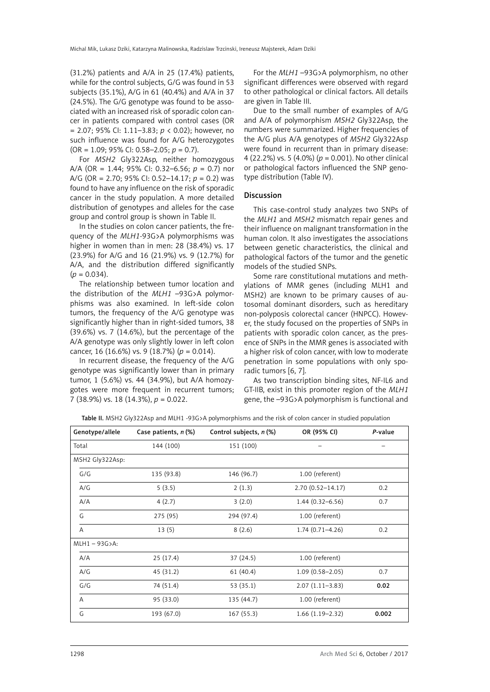(31.2%) patients and A/A in 25 (17.4%) patients, while for the control subjects, G/G was found in 53 subjects (35.1%), A/G in 61 (40.4%) and A/A in 37 (24.5%). The G/G genotype was found to be associated with an increased risk of sporadic colon cancer in patients compared with control cases (OR = 2.07; 95% CI: 1.11–3.83; *p* < 0.02); however, no such influence was found for A/G heterozygotes (OR = 1.09; 95% CI: 0.58–2.05; *p* = 0.7).

For *MSH2* Gly322Asp, neither homozygous A/A (OR = 1.44; 95% CI: 0.32–6.56; *p* = 0.7) nor A/G (OR = 2.70; 95% CI: 0.52–14.17; *p* = 0.2) was found to have any influence on the risk of sporadic cancer in the study population. A more detailed distribution of genotypes and alleles for the case group and control group is shown in Table II.

In the studies on colon cancer patients, the frequency of the *MLH1*-93G>A polymorphisms was higher in women than in men: 28 (38.4%) vs. 17 (23.9%) for A/G and 16 (21.9%) vs. 9 (12.7%) for A/A, and the distribution differed significantly  $(p = 0.034)$ .

The relationship between tumor location and the distribution of the *MLH1* –93G>A polymorphisms was also examined. In left-side colon tumors, the frequency of the A/G genotype was significantly higher than in right-sided tumors, 38 (39.6%) vs. 7 (14.6%), but the percentage of the A/A genotype was only slightly lower in left colon cancer, 16 (16.6%) vs. 9 (18.7%) (*p* = 0.014).

In recurrent disease, the frequency of the A/G genotype was significantly lower than in primary tumor, 1 (5.6%) vs. 44 (34.9%), but A/A homozygotes were more frequent in recurrent tumors; 7 (38.9%) vs. 18 (14.3%), *p* = 0.022.

For the *MLH1* –93G>A polymorphism, no other significant differences were observed with regard to other pathological or clinical factors. All details are given in Table III.

Due to the small number of examples of A/G and A/A of polymorphism *MSH2* Gly322Asp, the numbers were summarized. Higher frequencies of the A/G plus A/A genotypes of *MSH2* Gly322Asp were found in recurrent than in primary disease: 4 (22.2%) vs. 5 (4.0%) (*p* = 0.001). No other clinical or pathological factors influenced the SNP genotype distribution (Table IV).

## **Discussion**

This case-control study analyzes two SNPs of the *MLH1* and *MSH2* mismatch repair genes and their influence on malignant transformation in the human colon. It also investigates the associations between genetic characteristics, the clinical and pathological factors of the tumor and the genetic models of the studied SNPs.

Some rare constitutional mutations and methylations of MMR genes (including MLH1 and MSH2) are known to be primary causes of autosomal dominant disorders, such as hereditary non-polyposis colorectal cancer (HNPCC). However, the study focused on the properties of SNPs in patients with sporadic colon cancer, as the presence of SNPs in the MMR genes is associated with a higher risk of colon cancer, with low to moderate penetration in some populations with only sporadic tumors [6, 7].

As two transcription binding sites, NF-IL6 and GT-IIB, exist in this promoter region of the *MLH1* gene, the –93G>A polymorphism is functional and

Table II. MSH2 Gly322Asp and MLH1 -93G>A polymorphisms and the risk of colon cancer in studied population

| Genotype/allele    | Case patients, $n$ (%) | Control subjects, n (%) | OR (95% CI)          | P-value |
|--------------------|------------------------|-------------------------|----------------------|---------|
| Total              | 144 (100)              | 151 (100)               |                      |         |
| MSH2 Gly322Asp:    |                        |                         |                      |         |
| G/G                | 135 (93.8)             | 146 (96.7)              | 1.00 (referent)      |         |
| A/G                | 5(3.5)                 | 2(1.3)                  | $2.70(0.52 - 14.17)$ | 0.2     |
| A/A                | 4(2.7)                 | 3(2.0)                  | $1.44(0.32 - 6.56)$  | 0.7     |
| G                  | 275 (95)               | 294 (97.4)              | 1.00 (referent)      |         |
| A                  | 13(5)                  | 8(2.6)                  | $1.74(0.71 - 4.26)$  | 0.2     |
| $MLH1 - 93G > A$ : |                        |                         |                      |         |
| A/A                | 25(17.4)               | 37(24.5)                | 1.00 (referent)      |         |
| A/G                | 45 (31.2)              | 61(40.4)                | $1.09(0.58 - 2.05)$  | 0.7     |
| G/G                | 74 (51.4)              | 53 (35.1)               | $2.07(1.11 - 3.83)$  | 0.02    |
| A                  | 95 (33.0)              | 135 (44.7)              | 1.00 (referent)      |         |
| G                  | 193 (67.0)             | 167(55.3)               | $1.66(1.19-2.32)$    | 0.002   |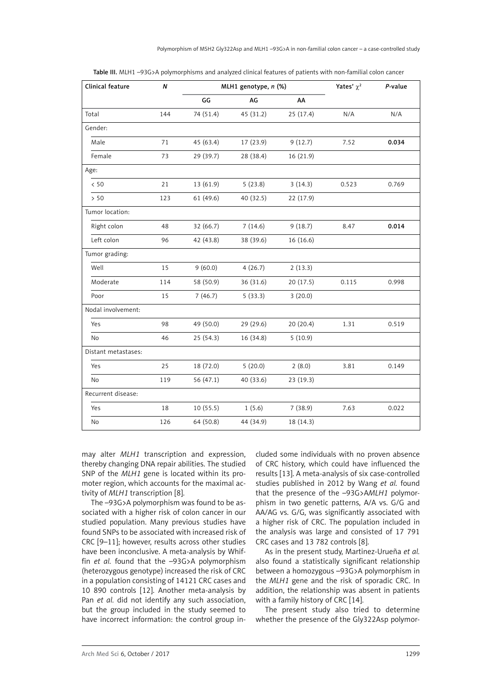| Clinical feature    | MLH1 genotype, n (%)<br>N |           |           |           | Yates' $\chi^2$ | P-value |
|---------------------|---------------------------|-----------|-----------|-----------|-----------------|---------|
|                     |                           | GG        | AG        | AA        |                 |         |
| Total               | 144                       | 74 (51.4) | 45 (31.2) | 25 (17.4) | N/A             | N/A     |
| Gender:             |                           |           |           |           |                 |         |
| Male                | 71                        | 45 (63.4) | 17 (23.9) | 9(12.7)   | 7.52            | 0.034   |
| Female              | 73                        | 29 (39.7) | 28 (38.4) | 16 (21.9) |                 |         |
| Age:                |                           |           |           |           |                 |         |
| < 50                | 21                        | 13 (61.9) | 5(23.8)   | 3(14.3)   | 0.523           | 0.769   |
| > 50                | 123                       | 61 (49.6) | 40 (32.5) | 22 (17.9) |                 |         |
| Tumor location:     |                           |           |           |           |                 |         |
| Right colon         | 48                        | 32 (66.7) | 7(14.6)   | 9(18.7)   | 8.47            | 0.014   |
| Left colon          | 96                        | 42 (43.8) | 38 (39.6) | 16 (16.6) |                 |         |
| Tumor grading:      |                           |           |           |           |                 |         |
| Well                | 15                        | 9(60.0)   | 4(26.7)   | 2(13.3)   |                 |         |
| Moderate            | 114                       | 58 (50.9) | 36 (31.6) | 20 (17.5) | 0.115           | 0.998   |
| Poor                | 15                        | 7(46.7)   | 5(33.3)   | 3(20.0)   |                 |         |
| Nodal involvement:  |                           |           |           |           |                 |         |
| Yes                 | 98                        | 49 (50.0) | 29 (29.6) | 20 (20.4) | 1.31            | 0.519   |
| <b>No</b>           | 46                        | 25 (54.3) | 16 (34.8) | 5(10.9)   |                 |         |
| Distant metastases: |                           |           |           |           |                 |         |
| Yes                 | 25                        | 18 (72.0) | 5(20.0)   | 2(8.0)    | 3.81            | 0.149   |
| No                  | 119                       | 56 (47.1) | 40 (33.6) | 23 (19.3) |                 |         |
| Recurrent disease:  |                           |           |           |           |                 |         |
| Yes                 | 18                        | 10(55.5)  | 1(5.6)    | 7(38.9)   | 7.63            | 0.022   |
| No                  | 126                       | 64 (50.8) | 44 (34.9) | 18 (14.3) |                 |         |

Table III. MLH1 –93G>A polymorphisms and analyzed clinical features of patients with non-familial colon cancer

may alter *MLH1* transcription and expression, thereby changing DNA repair abilities. The studied SNP of the *MLH1* gene is located within its promoter region, which accounts for the maximal activity of *MLH1* transcription [8].

The –93G>A polymorphism was found to be associated with a higher risk of colon cancer in our studied population. Many previous studies have found SNPs to be associated with increased risk of CRC [9–11]; however, results across other studies have been inconclusive. A meta-analysis by Whiffin *et al.* found that the –93G>A polymorphism (heterozygous genotype) increased the risk of CRC in a population consisting of 14121 CRC cases and 10 890 controls [12]. Another meta-analysis by Pan *et al.* did not identify any such association, but the group included in the study seemed to have incorrect information: the control group in-

cluded some individuals with no proven absence of CRC history, which could have influenced the results [13]. A meta-analysis of six case-controlled studies published in 2012 by Wang *et al.* found that the presence of the –93G>A*MLH1* polymorphism in two genetic patterns, A/A vs. G/G and AA/AG vs. G/G, was significantly associated with a higher risk of CRC. The population included in the analysis was large and consisted of 17 791 CRC cases and 13 782 controls [8].

As in the present study, Martinez-Urueña *et al.* also found a statistically significant relationship between a homozygous –93G>A polymorphism in the *MLH1* gene and the risk of sporadic CRC. In addition, the relationship was absent in patients with a family history of CRC [14].

The present study also tried to determine whether the presence of the Gly322Asp polymor-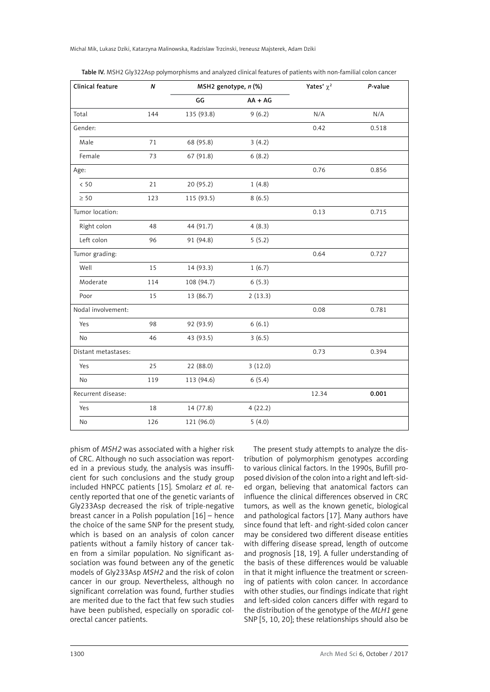| Clinical feature    | N   | MSH2 genotype, n (%) |           | Yates' $\chi^2$ | P-value |
|---------------------|-----|----------------------|-----------|-----------------|---------|
|                     |     | GG                   | $AA + AG$ |                 |         |
| Total               | 144 | 135 (93.8)           | 9(6.2)    | N/A             | N/A     |
| Gender:             |     |                      |           | 0.42            | 0.518   |
| Male                | 71  | 68 (95.8)            | 3(4.2)    |                 |         |
| Female              | 73  | 67 (91.8)            | 6(8.2)    |                 |         |
| Age:                |     |                      |           | 0.76            | 0.856   |
| $< 50$              | 21  | 20 (95.2)            | 1(4.8)    |                 |         |
| $\geq 50$           | 123 | 115 (93.5)           | 8(6.5)    |                 |         |
| Tumor location:     |     |                      |           | 0.13            | 0.715   |
| Right colon         | 48  | 44 (91.7)            | 4(8.3)    |                 |         |
| Left colon          | 96  | 91 (94.8)            | 5(5.2)    |                 |         |
| Tumor grading:      |     |                      |           | 0.64            | 0.727   |
| Well                | 15  | 14 (93.3)            | 1(6.7)    |                 |         |
| Moderate            | 114 | 108 (94.7)           | 6(5.3)    |                 |         |
| Poor                | 15  | 13 (86.7)            | 2(13.3)   |                 |         |
| Nodal involvement:  |     |                      |           | 0.08            | 0.781   |
| Yes                 | 98  | 92 (93.9)            | 6(6.1)    |                 |         |
| No                  | 46  | 43 (93.5)            | 3(6.5)    |                 |         |
| Distant metastases: |     |                      |           | 0.73            | 0.394   |
| Yes                 | 25  | 22 (88.0)            | 3(12.0)   |                 |         |
| No                  | 119 | 113 (94.6)           | 6(5.4)    |                 |         |
| Recurrent disease:  |     |                      |           | 12.34           | 0.001   |
| Yes                 | 18  | 14 (77.8)            | 4(22.2)   |                 |         |
| No                  | 126 | 121 (96.0)           | 5(4.0)    |                 |         |

Table IV. MSH2 Gly322Asp polymorphisms and analyzed clinical features of patients with non-familial colon cancer

phism of *MSH2* was associated with a higher risk of CRC. Although no such association was reported in a previous study, the analysis was insufficient for such conclusions and the study group included HNPCC patients [15]. Smolarz *et al.* recently reported that one of the genetic variants of Gly233Asp decreased the risk of triple-negative breast cancer in a Polish population [16] – hence the choice of the same SNP for the present study, which is based on an analysis of colon cancer patients without a family history of cancer taken from a similar population. No significant association was found between any of the genetic models of Gly233Asp *MSH2* and the risk of colon cancer in our group. Nevertheless, although no significant correlation was found, further studies are merited due to the fact that few such studies have been published, especially on sporadic colorectal cancer patients.

The present study attempts to analyze the distribution of polymorphism genotypes according to various clinical factors. In the 1990s, Bufill proposed division of the colon into a right and left-sided organ, believing that anatomical factors can influence the clinical differences observed in CRC tumors, as well as the known genetic, biological and pathological factors [17]. Many authors have since found that left- and right-sided colon cancer may be considered two different disease entities with differing disease spread, length of outcome and prognosis [18, 19]. A fuller understanding of the basis of these differences would be valuable in that it might influence the treatment or screening of patients with colon cancer. In accordance with other studies, our findings indicate that right and left-sided colon cancers differ with regard to the distribution of the genotype of the *MLH1* gene SNP [5, 10, 20]; these relationships should also be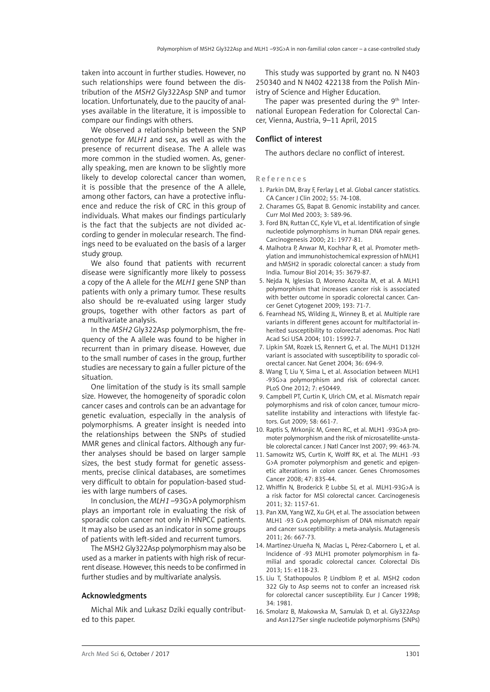taken into account in further studies. However, no such relationships were found between the distribution of the *MSH2* Gly322Asp SNP and tumor location. Unfortunately, due to the paucity of analyses available in the literature, it is impossible to compare our findings with others.

We observed a relationship between the SNP genotype for *MLH1* and sex, as well as with the presence of recurrent disease. The A allele was more common in the studied women. As, generally speaking, men are known to be slightly more likely to develop colorectal cancer than women, it is possible that the presence of the A allele, among other factors, can have a protective influence and reduce the risk of CRC in this group of individuals. What makes our findings particularly is the fact that the subjects are not divided according to gender in molecular research. The findings need to be evaluated on the basis of a larger study group.

We also found that patients with recurrent disease were significantly more likely to possess a copy of the A allele for the *MLH1* gene SNP than patients with only a primary tumor. These results also should be re-evaluated using larger study groups, together with other factors as part of a multivariate analysis.

In the *MSH2* Gly322Asp polymorphism, the frequency of the A allele was found to be higher in recurrent than in primary disease. However, due to the small number of cases in the group, further studies are necessary to gain a fuller picture of the situation.

One limitation of the study is its small sample size. However, the homogeneity of sporadic colon cancer cases and controls can be an advantage for genetic evaluation, especially in the analysis of polymorphisms. A greater insight is needed into the relationships between the SNPs of studied MMR genes and clinical factors. Although any further analyses should be based on larger sample sizes, the best study format for genetic assessments, precise clinical databases, are sometimes very difficult to obtain for population-based studies with large numbers of cases.

In conclusion, the *MLH1* –93G>A polymorphism plays an important role in evaluating the risk of sporadic colon cancer not only in HNPCC patients. It may also be used as an indicator in some groups of patients with left-sided and recurrent tumors.

The MSH2 Gly322Asp polymorphism may also be used as a marker in patients with high risk of recurrent disease. However, this needs to be confirmed in further studies and by multivariate analysis.

### Acknowledgments

Michal Mik and Lukasz Dziki equally contributed to this paper.

This study was supported by grant no. N N403 250340 and N N402 422138 from the Polish Ministry of Science and Higher Education.

The paper was presented during the  $9<sup>th</sup>$  International European Federation for Colorectal Cancer, Vienna, Austria, 9–11 April, 2015

#### Conflict of interest

The authors declare no conflict of interest.

#### References

- 1. Parkin DM, Bray F, Ferlay J, et al. Global cancer statistics. CA Cancer J Clin 2002; 55: 74-108.
- 2. Charames GS, Bapat B. Genomic instability and cancer. Curr Mol Med 2003; 3: 589-96.
- 3. Ford BN, Ruttan CC, Kyle VL, et al. Identification of single nucleotide polymorphisms in human DNA repair genes. Carcinogenesis 2000; 21: 1977-81.
- 4. Malhotra P, Anwar M, Kochhar R, et al. Promoter methylation and immunohistochemical expression of hMLH1 and hMSH2 in sporadic colorectal cancer: a study from India. Tumour Biol 2014; 35: 3679-87.
- 5. Nejda N, Iglesias D, Moreno Azcoita M, et al. A MLH1 polymorphism that increases cancer risk is associated with better outcome in sporadic colorectal cancer. Cancer Genet Cytogenet 2009; 193: 71-7.
- 6. Fearnhead NS, Wilding JL, Winney B, et al. Multiple rare variants in different genes account for multifactorial inherited susceptibility to colorectal adenomas. Proc Natl Acad Sci USA 2004; 101: 15992-7.
- 7. Lipkin SM, Rozek LS, Rennert G, et al. The MLH1 D132H variant is associated with susceptibility to sporadic colorectal cancer. Nat Genet 2004; 36: 694-9.
- 8. Wang T, Liu Y, Sima L, et al. Association between MLH1 -93G>a polymorphism and risk of colorectal cancer. PLoS One 2012; 7: e50449.
- 9. Campbell PT, Curtin K, Ulrich CM, et al. Mismatch repair polymorphisms and risk of colon cancer, tumour microsatellite instability and interactions with lifestyle factors. Gut 2009; 58: 661-7.
- 10. Raptis S, Mrkonjic M, Green RC, et al. MLH1 -93G>A promoter polymorphism and the risk of microsatellite-unstable colorectal cancer. J Natl Cancer Inst 2007; 99: 463-74.
- 11. Samowitz WS, Curtin K, Wolff RK, et al. The MLH1 -93 G>A promoter polymorphism and genetic and epigenetic alterations in colon cancer. Genes Chromosomes Cancer 2008; 47: 835-44.
- 12. Whiffin N, Broderick P, Lubbe SJ, et al. MLH1-93G>A is a risk factor for MSI colorectal cancer. Carcinogenesis 2011; 32: 1157-61.
- 13. Pan XM, Yang WZ, Xu GH, et al. The association between MLH1 -93 G>A polymorphism of DNA mismatch repair and cancer susceptibility: a meta-analysis. Mutagenesis 2011; 26: 667-73.
- 14. Martínez-Urueña N, Macías L, Pérez-Cabornero L, et al. Incidence of -93 MLH1 promoter polymorphism in familial and sporadic colorectal cancer. Colorectal Dis 2013; 15: e118-23.
- 15. Liu T, Stathopoulos P, Lindblom P, et al. MSH2 codon 322 Gly to Asp seems not to confer an increased risk for colorectal cancer susceptibility. Eur J Cancer 1998; 34: 1981.
- 16. Smolarz B, Makowska M, Samulak D, et al. Gly322Asp and Asn127Ser single nucleotide polymorphisms (SNPs)